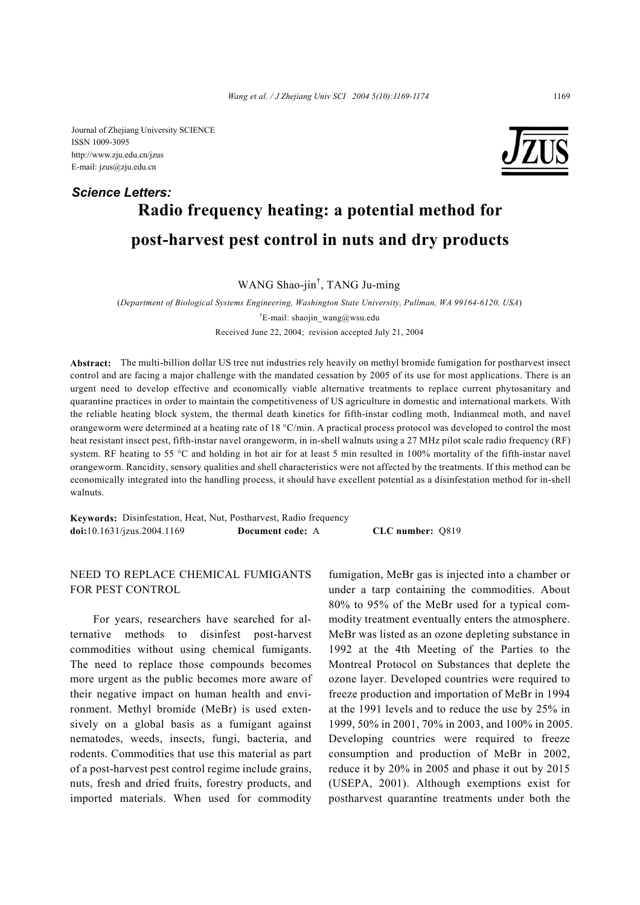Journal of Zhejiang University SCIENCE ISSN 1009-3095 http://www.zju.edu.cn/jzus E-mail: jzus@zju.edu.cn

## **Radio frequency heating: a potential method for post-harvest pest control in nuts and dry products**  *Science Letters:*

WANG Shao-jin† , TANG Ju-ming

(*Department of Biological Systems Engineering, Washington State University, Pullman, WA 99164-6120, USA*) <sup>†</sup>E-mail: shaojin\_wang@wsu.edu Received June 22, 2004; revision accepted July 21, 2004

**Abstract:** The multi-billion dollar US tree nut industries rely heavily on methyl bromide fumigation for postharvest insect control and are facing a major challenge with the mandated cessation by 2005 of its use for most applications. There is an urgent need to develop effective and economically viable alternative treatments to replace current phytosanitary and quarantine practices in order to maintain the competitiveness of US agriculture in domestic and international markets. With the reliable heating block system, the thermal death kinetics for fifth-instar codling moth, Indianmeal moth, and navel orangeworm were determined at a heating rate of 18 °C/min. A practical process protocol was developed to control the most heat resistant insect pest, fifth-instar navel orangeworm, in in-shell walnuts using a 27 MHz pilot scale radio frequency (RF) system. RF heating to 55 °C and holding in hot air for at least 5 min resulted in 100% mortality of the fifth-instar navel orangeworm. Rancidity, sensory qualities and shell characteristics were not affected by the treatments. If this method can be economically integrated into the handling process, it should have excellent potential as a disinfestation method for in-shell walnuts.

**Keywords:** Disinfestation, Heat, Nut, Postharvest, Radio frequency **doi:**10.1631/jzus.2004.1169 **Document code:** A **CLC number:** Q819

## NEED TO REPLACE CHEMICAL FUMIGANTS FOR PEST CONTROL

For years, researchers have searched for alternative methods to disinfest post-harvest commodities without using chemical fumigants. The need to replace those compounds becomes more urgent as the public becomes more aware of their negative impact on human health and environment. Methyl bromide (MeBr) is used extensively on a global basis as a fumigant against nematodes, weeds, insects, fungi, bacteria, and rodents. Commodities that use this material as part of a post-harvest pest control regime include grains, nuts, fresh and dried fruits, forestry products, and imported materials. When used for commodity fumigation, MeBr gas is injected into a chamber or under a tarp containing the commodities. About 80% to 95% of the MeBr used for a typical commodity treatment eventually enters the atmosphere. MeBr was listed as an ozone depleting substance in 1992 at the 4th Meeting of the Parties to the Montreal Protocol on Substances that deplete the ozone layer. Developed countries were required to freeze production and importation of MeBr in 1994 at the 1991 levels and to reduce the use by 25% in 1999, 50% in 2001, 70% in 2003, and 100% in 2005. Developing countries were required to freeze consumption and production of MeBr in 2002, reduce it by 20% in 2005 and phase it out by 2015 (USEPA, 2001). Although exemptions exist for postharvest quarantine treatments under both the

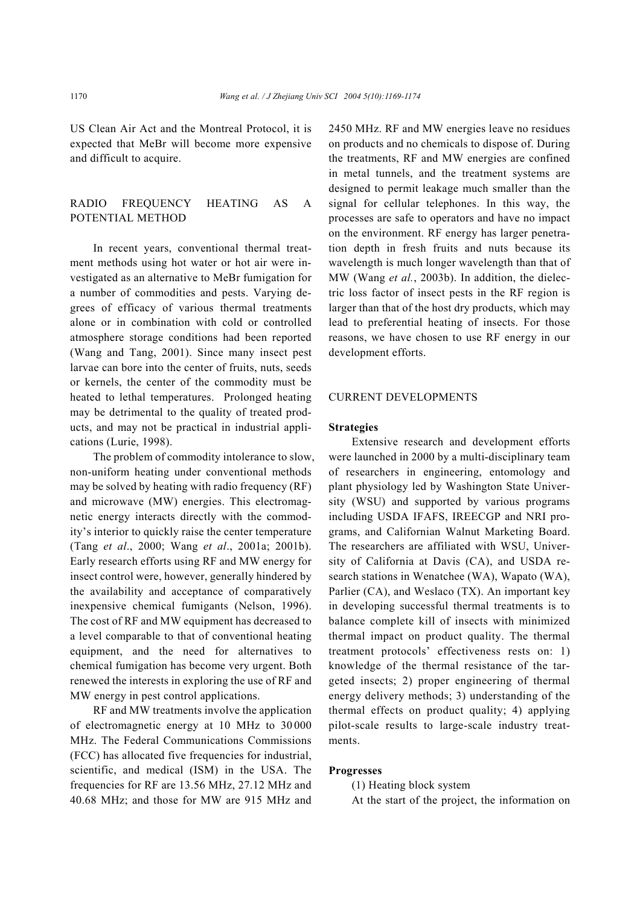US Clean Air Act and the Montreal Protocol, it is expected that MeBr will become more expensive and difficult to acquire.

## RADIO FREQUENCY HEATING AS A POTENTIAL METHOD

In recent years, conventional thermal treatment methods using hot water or hot air were investigated as an alternative to MeBr fumigation for a number of commodities and pests. Varying degrees of efficacy of various thermal treatments alone or in combination with cold or controlled atmosphere storage conditions had been reported (Wang and Tang, 2001). Since many insect pest larvae can bore into the center of fruits, nuts, seeds or kernels, the center of the commodity must be heated to lethal temperatures. Prolonged heating may be detrimental to the quality of treated products, and may not be practical in industrial applications (Lurie, 1998).

The problem of commodity intolerance to slow, non-uniform heating under conventional methods may be solved by heating with radio frequency (RF) and microwave (MW) energies. This electromagnetic energy interacts directly with the commodity's interior to quickly raise the center temperature (Tang *et al*., 2000; Wang *et al*., 2001a; 2001b). Early research efforts using RF and MW energy for insect control were, however, generally hindered by the availability and acceptance of comparatively inexpensive chemical fumigants (Nelson, 1996). The cost of RF and MW equipment has decreased to a level comparable to that of conventional heating equipment, and the need for alternatives to chemical fumigation has become very urgent. Both renewed the interests in exploring the use of RF and MW energy in pest control applications.

RF and MW treatments involve the application of electromagnetic energy at 10 MHz to 30 000 MHz. The Federal Communications Commissions (FCC) has allocated five frequencies for industrial, scientific, and medical (ISM) in the USA. The frequencies for RF are 13.56 MHz, 27.12 MHz and 40.68 MHz; and those for MW are 915 MHz and 2450 MHz. RF and MW energies leave no residues on products and no chemicals to dispose of. During the treatments, RF and MW energies are confined in metal tunnels, and the treatment systems are designed to permit leakage much smaller than the signal for cellular telephones. In this way, the processes are safe to operators and have no impact on the environment. RF energy has larger penetration depth in fresh fruits and nuts because its wavelength is much longer wavelength than that of MW (Wang *et al.*, 2003b). In addition, the dielectric loss factor of insect pests in the RF region is larger than that of the host dry products, which may lead to preferential heating of insects. For those reasons, we have chosen to use RF energy in our development efforts.

#### CURRENT DEVELOPMENTS

#### **Strategies**

Extensive research and development efforts were launched in 2000 by a multi-disciplinary team of researchers in engineering, entomology and plant physiology led by Washington State University (WSU) and supported by various programs including USDA IFAFS, IREECGP and NRI programs, and Californian Walnut Marketing Board. The researchers are affiliated with WSU, University of California at Davis (CA), and USDA research stations in Wenatchee (WA), Wapato (WA), Parlier (CA), and Weslaco (TX). An important key in developing successful thermal treatments is to balance complete kill of insects with minimized thermal impact on product quality. The thermal treatment protocols' effectiveness rests on: 1) knowledge of the thermal resistance of the targeted insects; 2) proper engineering of thermal energy delivery methods; 3) understanding of the thermal effects on product quality; 4) applying pilot-scale results to large-scale industry treatments.

#### **Progresses**

(1) Heating block system

At the start of the project, the information on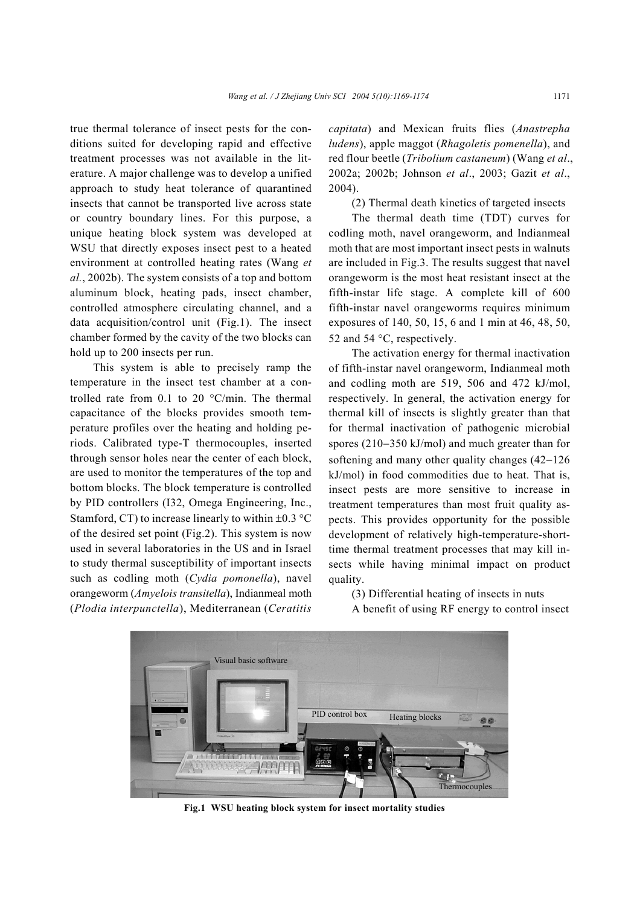true thermal tolerance of insect pests for the conditions suited for developing rapid and effective treatment processes was not available in the literature. A major challenge was to develop a unified approach to study heat tolerance of quarantined insects that cannot be transported live across state or country boundary lines. For this purpose, a unique heating block system was developed at WSU that directly exposes insect pest to a heated environment at controlled heating rates (Wang *et al.*, 2002b). The system consists of a top and bottom aluminum block, heating pads, insect chamber, controlled atmosphere circulating channel, and a data acquisition/control unit (Fig.1). The insect chamber formed by the cavity of the two blocks can hold up to 200 insects per run.

This system is able to precisely ramp the temperature in the insect test chamber at a controlled rate from 0.1 to 20 °C/min. The thermal capacitance of the blocks provides smooth temperature profiles over the heating and holding periods. Calibrated type-T thermocouples, inserted through sensor holes near the center of each block, are used to monitor the temperatures of the top and bottom blocks. The block temperature is controlled by PID controllers (I32, Omega Engineering, Inc., Stamford, CT) to increase linearly to within  $\pm 0.3$  °C of the desired set point (Fig.2). This system is now used in several laboratories in the US and in Israel to study thermal susceptibility of important insects such as codling moth (*Cydia pomonella*), navel orangeworm (*Amyelois transitella*), Indianmeal moth (*Plodia interpunctella*), Mediterranean (*Ceratitis*

*capitata*) and Mexican fruits flies (*Anastrepha ludens*), apple maggot (*Rhagoletis pomenella*), and red flour beetle (*Tribolium castaneum*) (Wang *et al*., 2002a; 2002b; Johnson *et al*., 2003; Gazit *et al*., 2004).

(2) Thermal death kinetics of targeted insects

The thermal death time (TDT) curves for codling moth, navel orangeworm, and Indianmeal moth that are most important insect pests in walnuts are included in Fig.3. The results suggest that navel orangeworm is the most heat resistant insect at the fifth-instar life stage. A complete kill of 600 fifth-instar navel orangeworms requires minimum exposures of 140, 50, 15, 6 and 1 min at 46, 48, 50, 52 and 54 °C, respectively.

The activation energy for thermal inactivation of fifth-instar navel orangeworm, Indianmeal moth and codling moth are 519, 506 and 472 kJ/mol, respectively. In general, the activation energy for thermal kill of insects is slightly greater than that for thermal inactivation of pathogenic microbial spores (210−350 kJ/mol) and much greater than for softening and many other quality changes (42−126 kJ/mol) in food commodities due to heat. That is, insect pests are more sensitive to increase in treatment temperatures than most fruit quality aspects. This provides opportunity for the possible development of relatively high-temperature-shorttime thermal treatment processes that may kill insects while having minimal impact on product quality.

(3) Differential heating of insects in nuts A benefit of using RF energy to control insect



**Fig.1 WSU heating block system for insect mortality studies**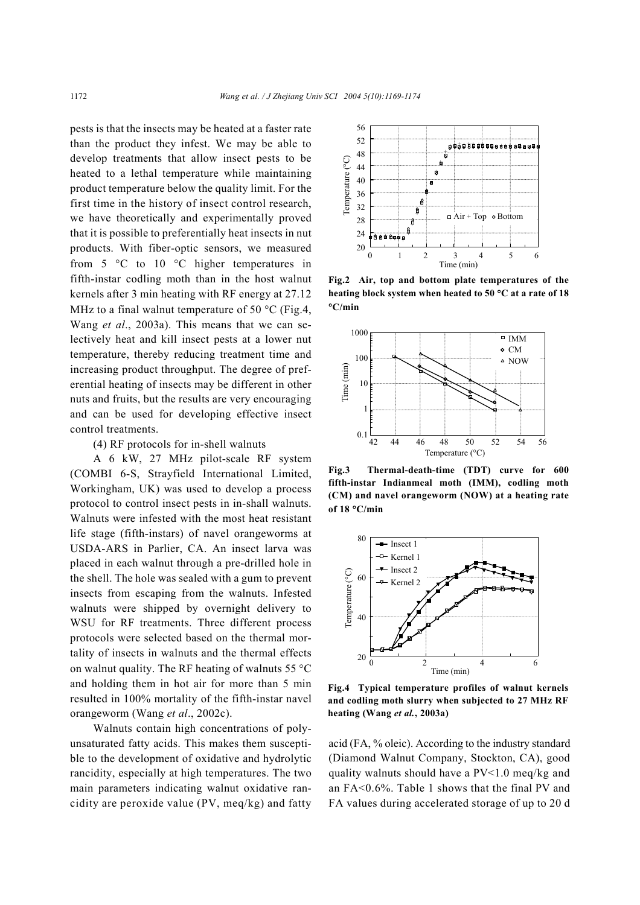pests is that the insects may be heated at a faster rate than the product they infest. We may be able to develop treatments that allow insect pests to be heated to a lethal temperature while maintaining product temperature below the quality limit. For the first time in the history of insect control research, we have theoretically and experimentally proved that it is possible to preferentially heat insects in nut products. With fiber-optic sensors, we measured from 5 °C to 10 °C higher temperatures in fifth-instar codling moth than in the host walnut kernels after 3 min heating with RF energy at 27.12 MHz to a final walnut temperature of 50  $^{\circ}$ C (Fig.4, Wang *et al*., 2003a). This means that we can selectively heat and kill insect pests at a lower nut temperature, thereby reducing treatment time and increasing product throughput. The degree of preferential heating of insects may be different in other nuts and fruits, but the results are very encouraging and can be used for developing effective insect control treatments.

(4) RF protocols for in-shell walnuts

A 6 kW, 27 MHz pilot-scale RF system (COMBI 6-S, Strayfield International Limited, Workingham, UK) was used to develop a process protocol to control insect pests in in-shall walnuts. Walnuts were infested with the most heat resistant life stage (fifth-instars) of navel orangeworms at USDA-ARS in Parlier, CA. An insect larva was placed in each walnut through a pre-drilled hole in the shell. The hole was sealed with a gum to prevent insects from escaping from the walnuts. Infested walnuts were shipped by overnight delivery to WSU for RF treatments. Three different process protocols were selected based on the thermal mortality of insects in walnuts and the thermal effects on walnut quality. The RF heating of walnuts  $55^{\circ}$ C and holding them in hot air for more than 5 min resulted in 100% mortality of the fifth-instar navel orangeworm (Wang *et al*., 2002c).

Walnuts contain high concentrations of polyunsaturated fatty acids. This makes them susceptible to the development of oxidative and hydrolytic rancidity, especially at high temperatures. The two main parameters indicating walnut oxidative rancidity are peroxide value (PV, meq/kg) and fatty



**Fig.2 Air, top and bottom plate temperatures of the heating block system when heated to 50** °**C at a rate of 18** °**C/min** 



**Fig.3 Thermal-death-time (TDT) curve for 600 fifth-instar Indianmeal moth (IMM), codling moth (CM) and navel orangeworm (NOW) at a heating rate of 18** °**C/min** 



**Fig.4 Typical temperature profiles of walnut kernels and codling moth slurry when subjected to 27 MHz RF heating (Wang** *et al.***, 2003a)** 

acid (FA, % oleic). According to the industry standard (Diamond Walnut Company, Stockton, CA), good quality walnuts should have a PV<1.0 meq/kg and an FA<0.6%. Table 1 shows that the final PV and FA values during accelerated storage of up to 20 d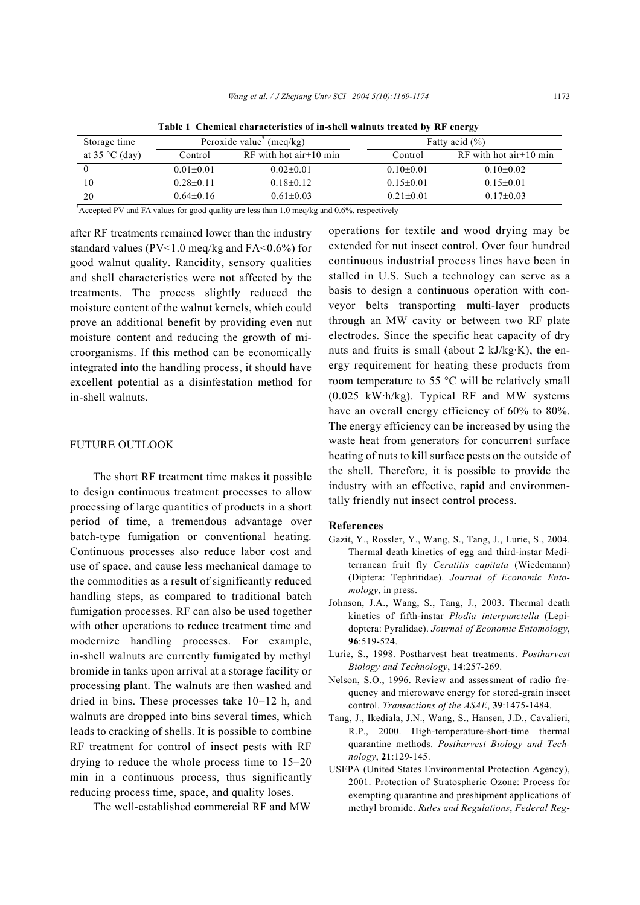| Storage time              | Peroxide value $(meq/kg)$ |                            | Fatty acid $(\% )$ |                           |
|---------------------------|---------------------------|----------------------------|--------------------|---------------------------|
| at $35^{\circ}$ C (day)   | Control                   | $RF$ with hot air + 10 min | Control            | $RF$ with hot air +10 min |
|                           | $0.01 \pm 0.01$           | $0.02\pm0.01$              | $0.10\pm0.01$      | $0.10 \pm 0.02$           |
| 10                        | $0.28 \pm 0.11$           | $0.18 \pm 0.12$            | $0.15 \pm 0.01$    | $0.15 \pm 0.01$           |
| 20                        | $0.64\pm0.16$             | $0.61 \pm 0.03$            | $0.21 \pm 0.01$    | $0.17\pm0.03$             |
| $\ddot{\phantom{1}}$<br>. | $\sim$                    | .<br>$\cdots$              |                    |                           |

**Table 1 Chemical characteristics of in-shell walnuts treated by RF energy** 

\* Accepted PV and FA values for good quality are less than 1.0 meq/kg and 0.6%, respectively

after RF treatments remained lower than the industry standard values ( $PV < 1.0$  meq/kg and  $FA < 0.6$ %) for good walnut quality. Rancidity, sensory qualities and shell characteristics were not affected by the treatments. The process slightly reduced the moisture content of the walnut kernels, which could prove an additional benefit by providing even nut moisture content and reducing the growth of microorganisms. If this method can be economically integrated into the handling process, it should have excellent potential as a disinfestation method for in-shell walnuts.

#### FUTURE OUTLOOK

The short RF treatment time makes it possible to design continuous treatment processes to allow processing of large quantities of products in a short period of time, a tremendous advantage over batch-type fumigation or conventional heating. Continuous processes also reduce labor cost and use of space, and cause less mechanical damage to the commodities as a result of significantly reduced handling steps, as compared to traditional batch fumigation processes. RF can also be used together with other operations to reduce treatment time and modernize handling processes. For example, in-shell walnuts are currently fumigated by methyl bromide in tanks upon arrival at a storage facility or processing plant. The walnuts are then washed and dried in bins. These processes take 10−12 h, and walnuts are dropped into bins several times, which leads to cracking of shells. It is possible to combine RF treatment for control of insect pests with RF drying to reduce the whole process time to 15−20 min in a continuous process, thus significantly reducing process time, space, and quality loses.

The well-established commercial RF and MW

operations for textile and wood drying may be extended for nut insect control. Over four hundred continuous industrial process lines have been in stalled in U.S. Such a technology can serve as a basis to design a continuous operation with conveyor belts transporting multi-layer products through an MW cavity or between two RF plate electrodes. Since the specific heat capacity of dry nuts and fruits is small (about 2 kJ/kg·K), the energy requirement for heating these products from room temperature to 55 °C will be relatively small (0.025 kW·h/kg). Typical RF and MW systems have an overall energy efficiency of 60% to 80%. The energy efficiency can be increased by using the waste heat from generators for concurrent surface heating of nuts to kill surface pests on the outside of the shell. Therefore, it is possible to provide the industry with an effective, rapid and environmentally friendly nut insect control process.

#### **References**

- Gazit, Y., Rossler, Y., Wang, S., Tang, J., Lurie, S., 2004. Thermal death kinetics of egg and third-instar Mediterranean fruit fly *Ceratitis capitata* (Wiedemann) (Diptera: Tephritidae). *Journal of Economic Entomology*, in press.
- Johnson, J.A., Wang, S., Tang, J., 2003. Thermal death kinetics of fifth-instar *Plodia interpunctella* (Lepidoptera: Pyralidae). *Journal of Economic Entomology*, **96**:519-524.
- Lurie, S., 1998. Postharvest heat treatments. *Postharvest Biology and Technology*, **14**:257-269.
- Nelson, S.O., 1996. Review and assessment of radio frequency and microwave energy for stored-grain insect control. *Transactions of the ASAE*, **39**:1475-1484.
- Tang, J., Ikediala, J.N., Wang, S., Hansen, J.D., Cavalieri, R.P., 2000. High-temperature-short-time thermal quarantine methods. *Postharvest Biology and Technology*, **21**:129-145.
- USEPA (United States Environmental Protection Agency), 2001. Protection of Stratospheric Ozone: Process for exempting quarantine and preshipment applications of methyl bromide. *Rules and Regulations*, *Federal Reg-*